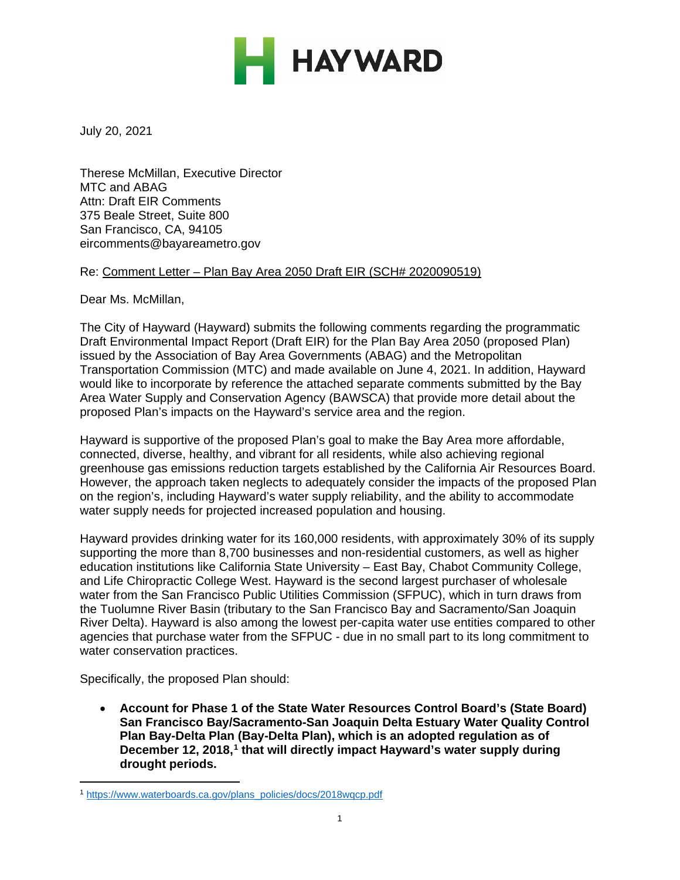

July 20, 2021

Therese McMillan, Executive Director MTC and ABAG Attn: Draft EIR Comments 375 Beale Street, Suite 800 San Francisco, CA, 94105 eircomments@bayareametro.gov

#### Re: Comment Letter – Plan Bay Area 2050 Draft EIR (SCH# 2020090519)

Dear Ms. McMillan,

The City of Hayward (Hayward) submits the following comments regarding the programmatic Draft Environmental Impact Report (Draft EIR) for the Plan Bay Area 2050 (proposed Plan) issued by the Association of Bay Area Governments (ABAG) and the Metropolitan Transportation Commission (MTC) and made available on June 4, 2021. In addition, Hayward would like to incorporate by reference the attached separate comments submitted by the Bay Area Water Supply and Conservation Agency (BAWSCA) that provide more detail about the proposed Plan's impacts on the Hayward's service area and the region.

Hayward is supportive of the proposed Plan's goal to make the Bay Area more affordable, connected, diverse, healthy, and vibrant for all residents, while also achieving regional greenhouse gas emissions reduction targets established by the California Air Resources Board. However, the approach taken neglects to adequately consider the impacts of the proposed Plan on the region's, including Hayward's water supply reliability, and the ability to accommodate water supply needs for projected increased population and housing.

Hayward provides drinking water for its 160,000 residents, with approximately 30% of its supply supporting the more than 8,700 businesses and non-residential customers, as well as higher education institutions like California State University – East Bay, Chabot Community College, and Life Chiropractic College West. Hayward is the second largest purchaser of wholesale water from the San Francisco Public Utilities Commission (SFPUC), which in turn draws from the Tuolumne River Basin (tributary to the San Francisco Bay and Sacramento/San Joaquin River Delta). Hayward is also among the lowest per-capita water use entities compared to other agencies that purchase water from the SFPUC - due in no small part to its long commitment to water conservation practices.

Specifically, the proposed Plan should:

• **Account for Phase 1 of the State Water Resources Control Board's (State Board) San Francisco Bay/Sacramento-San Joaquin Delta Estuary Water Quality Control Plan Bay-Delta Plan (Bay-Delta Plan), which is an adopted regulation as of December 12, 2018,[1](#page-0-0) that will directly impact Hayward's water supply during drought periods.**

<span id="page-0-0"></span><sup>1</sup> [https://www.waterboards.ca.gov/plans\\_policies/docs/2018wqcp.pdf](https://www.waterboards.ca.gov/plans_policies/docs/2018wqcp.pdf)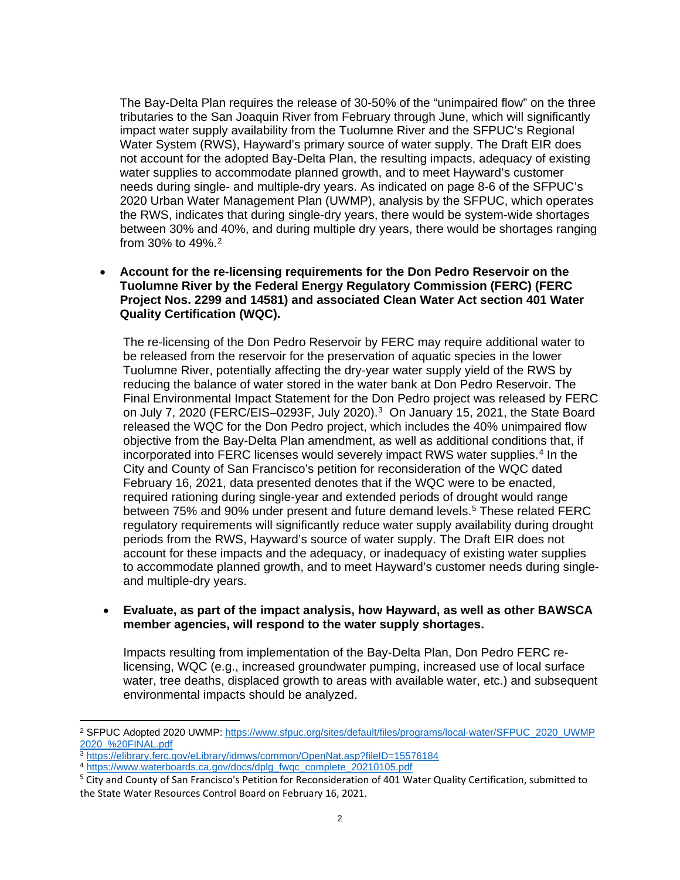The Bay-Delta Plan requires the release of 30-50% of the "unimpaired flow" on the three tributaries to the San Joaquin River from February through June, which will significantly impact water supply availability from the Tuolumne River and the SFPUC's Regional Water System (RWS), Hayward's primary source of water supply. The Draft EIR does not account for the adopted Bay-Delta Plan, the resulting impacts, adequacy of existing water supplies to accommodate planned growth, and to meet Hayward's customer needs during single- and multiple-dry years. As indicated on page 8-6 of the SFPUC's 2020 Urban Water Management Plan (UWMP), analysis by the SFPUC, which operates the RWS, indicates that during single-dry years, there would be system-wide shortages between 30% and 40%, and during multiple dry years, there would be shortages ranging from 30% to 49%.[2](#page-1-0)

• **Account for the re-licensing requirements for the Don Pedro Reservoir on the Tuolumne River by the Federal Energy Regulatory Commission (FERC) (FERC Project Nos. 2299 and 14581) and associated Clean Water Act section 401 Water Quality Certification (WQC).**

The re-licensing of the Don Pedro Reservoir by FERC may require additional water to be released from the reservoir for the preservation of aquatic species in the lower Tuolumne River, potentially affecting the dry-year water supply yield of the RWS by reducing the balance of water stored in the water bank at Don Pedro Reservoir. The Final Environmental Impact Statement for the Don Pedro project was released by FERC on July 7, 2020 (FERC/EIS-0293F, July 2020).<sup>3</sup> On January 15, 2021, the State Board released the WQC for the Don Pedro project, which includes the 40% unimpaired flow objective from the Bay-Delta Plan amendment, as well as additional conditions that, if incorporated into FERC licenses would severely impact RWS water supplies.[4](#page-1-2) In the City and County of San Francisco's petition for reconsideration of the WQC dated February 16, 2021, data presented denotes that if the WQC were to be enacted, required rationing during single-year and extended periods of drought would range between 75% and 90% under present and future demand levels.[5](#page-1-3) These related FERC regulatory requirements will significantly reduce water supply availability during drought periods from the RWS, Hayward's source of water supply. The Draft EIR does not account for these impacts and the adequacy, or inadequacy of existing water supplies to accommodate planned growth, and to meet Hayward's customer needs during singleand multiple-dry years.

#### • **Evaluate, as part of the impact analysis, how Hayward, as well as other BAWSCA member agencies, will respond to the water supply shortages.**

Impacts resulting from implementation of the Bay-Delta Plan, Don Pedro FERC relicensing, WQC (e.g., increased groundwater pumping, increased use of local surface water, tree deaths, displaced growth to areas with available water, etc.) and subsequent environmental impacts should be analyzed.

<span id="page-1-0"></span><sup>&</sup>lt;sup>2</sup> SFPUC Adopted 2020 UWMP: https://www.sfpuc.org/sites/default/files/programs/local-water/SFPUC\_2020\_UWMP [2020\\_%20FINAL.pdf](https://www.sfpuc.org/sites/default/files/programs/local-water/SFPUC_2020_UWMP2020_%20FINAL.pdf)

<span id="page-1-1"></span><sup>3</sup> <https://elibrary.ferc.gov/eLibrary/idmws/common/OpenNat.asp?fileID=15576184>

<span id="page-1-2"></span><sup>&</sup>lt;sup>4</sup> [https://www.waterboards.ca.gov/docs/dplg\\_fwqc\\_complete\\_20210105.pdf](https://www.waterboards.ca.gov/docs/dplg_fwqc_complete_20210105.pdf)

<span id="page-1-3"></span><sup>5</sup> City and County of San Francisco's Petition for Reconsideration of 401 Water Quality Certification, submitted to the State Water Resources Control Board on February 16, 2021.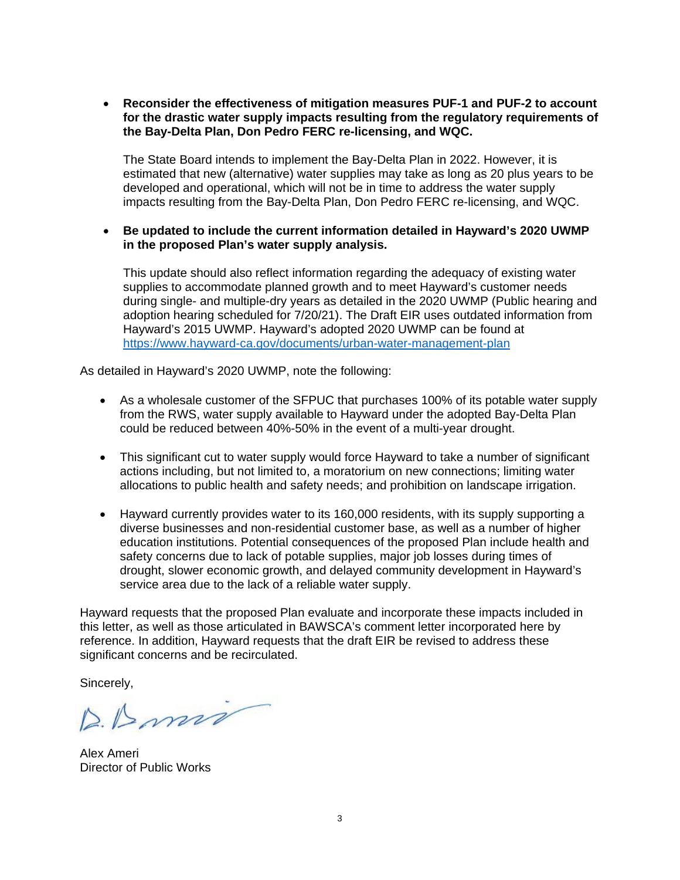• **Reconsider the effectiveness of mitigation measures PUF-1 and PUF-2 to account for the drastic water supply impacts resulting from the regulatory requirements of the Bay-Delta Plan, Don Pedro FERC re-licensing, and WQC.**

The State Board intends to implement the Bay-Delta Plan in 2022. However, it is estimated that new (alternative) water supplies may take as long as 20 plus years to be developed and operational, which will not be in time to address the water supply impacts resulting from the Bay-Delta Plan, Don Pedro FERC re-licensing, and WQC.

• **Be updated to include the current information detailed in Hayward's 2020 UWMP in the proposed Plan's water supply analysis.**

This update should also reflect information regarding the adequacy of existing water supplies to accommodate planned growth and to meet Hayward's customer needs during single- and multiple-dry years as detailed in the 2020 UWMP (Public hearing and adoption hearing scheduled for 7/20/21). The Draft EIR uses outdated information from Hayward's 2015 UWMP. Hayward's adopted 2020 UWMP can be found at <https://www.hayward-ca.gov/documents/urban-water-management-plan>

As detailed in Hayward's 2020 UWMP, note the following:

- As a wholesale customer of the SFPUC that purchases 100% of its potable water supply from the RWS, water supply available to Hayward under the adopted Bay-Delta Plan could be reduced between 40%-50% in the event of a multi-year drought.
- This significant cut to water supply would force Hayward to take a number of significant actions including, but not limited to, a moratorium on new connections; limiting water allocations to public health and safety needs; and prohibition on landscape irrigation.
- Hayward currently provides water to its 160,000 residents, with its supply supporting a diverse businesses and non-residential customer base, as well as a number of higher education institutions. Potential consequences of the proposed Plan include health and safety concerns due to lack of potable supplies, major job losses during times of drought, slower economic growth, and delayed community development in Hayward's service area due to the lack of a reliable water supply.

Hayward requests that the proposed Plan evaluate and incorporate these impacts included in this letter, as well as those articulated in BAWSCA's comment letter incorporated here by reference. In addition, Hayward requests that the draft EIR be revised to address these significant concerns and be recirculated.

Sincerely,

Alex Ameri Director of Public Works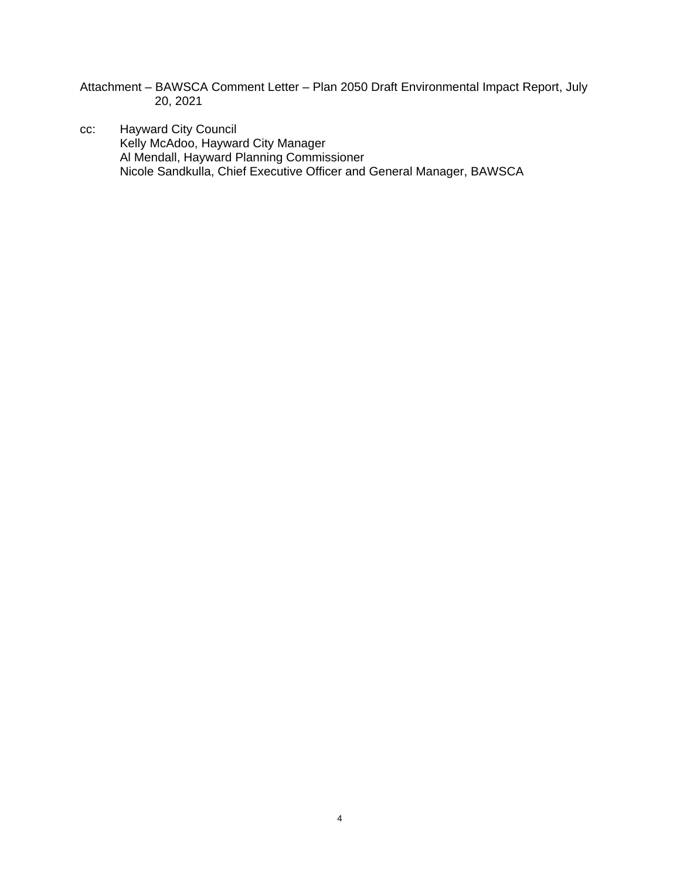- Attachment BAWSCA Comment Letter Plan 2050 Draft Environmental Impact Report, July 20, 2021
- cc: Hayward City Council Kelly McAdoo, Hayward City Manager Al Mendall, Hayward Planning Commissioner Nicole Sandkulla, Chief Executive Officer and General Manager, BAWSCA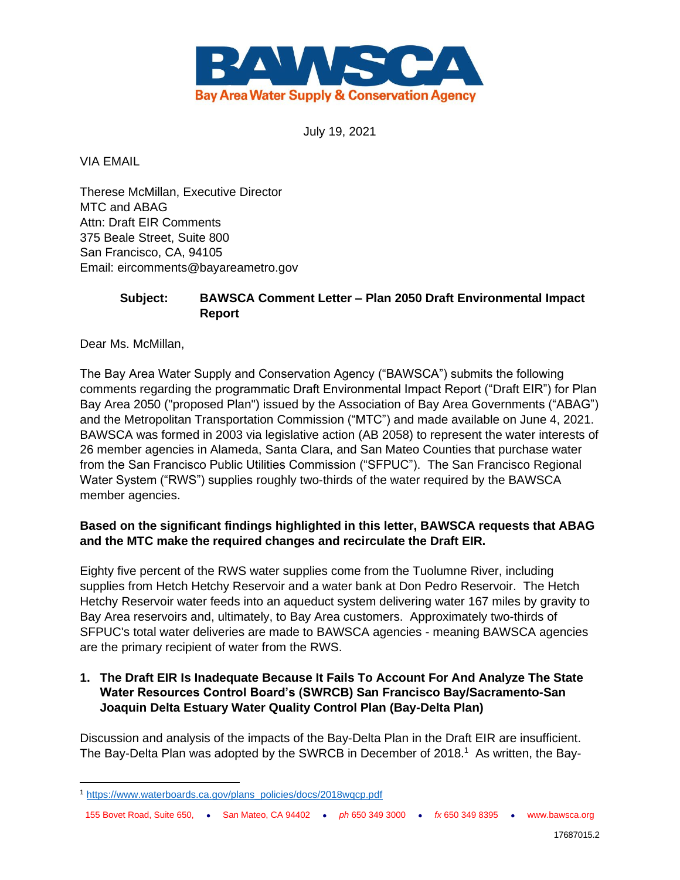

July 19, 2021

VIA EMAIL

Therese McMillan, Executive Director MTC and ABAG Attn: Draft EIR Comments 375 Beale Street, Suite 800 San Francisco, CA, 94105 Email: eircomments@bayareametro.gov

## **Subject: BAWSCA Comment Letter – Plan 2050 Draft Environmental Impact Report**

Dear Ms. McMillan,

The Bay Area Water Supply and Conservation Agency ("BAWSCA") submits the following comments regarding the programmatic Draft Environmental Impact Report ("Draft EIR") for Plan Bay Area 2050 ("proposed Plan") issued by the Association of Bay Area Governments ("ABAG") and the Metropolitan Transportation Commission ("MTC") and made available on June 4, 2021. BAWSCA was formed in 2003 via legislative action (AB 2058) to represent the water interests of 26 member agencies in Alameda, Santa Clara, and San Mateo Counties that purchase water from the San Francisco Public Utilities Commission ("SFPUC"). The San Francisco Regional Water System ("RWS") supplies roughly two-thirds of the water required by the BAWSCA member agencies.

## **Based on the significant findings highlighted in this letter, BAWSCA requests that ABAG and the MTC make the required changes and recirculate the Draft EIR.**

Eighty five percent of the RWS water supplies come from the Tuolumne River, including supplies from Hetch Hetchy Reservoir and a water bank at Don Pedro Reservoir. The Hetch Hetchy Reservoir water feeds into an aqueduct system delivering water 167 miles by gravity to Bay Area reservoirs and, ultimately, to Bay Area customers. Approximately two-thirds of SFPUC's total water deliveries are made to BAWSCA agencies - meaning BAWSCA agencies are the primary recipient of water from the RWS.

## **1. The Draft EIR Is Inadequate Because It Fails To Account For And Analyze The State Water Resources Control Board's (SWRCB) San Francisco Bay/Sacramento-San Joaquin Delta Estuary Water Quality Control Plan (Bay-Delta Plan)**

Discussion and analysis of the impacts of the Bay-Delta Plan in the Draft EIR are insufficient. The Bay-Delta Plan was adopted by the SWRCB in December of 2018.<sup>1</sup> As written, the Bay-

155 Bovet Road, Suite 650, ⚫ San Mateo, CA 94402 ⚫ *ph* 650 349 3000 ⚫ *fx* 650 349 8395 ⚫ www.bawsca.org

<sup>1</sup> [https://www.waterboards.ca.gov/plans\\_policies/docs/2018wqcp.pdf](https://www.waterboards.ca.gov/plans_policies/docs/2018wqcp.pdf)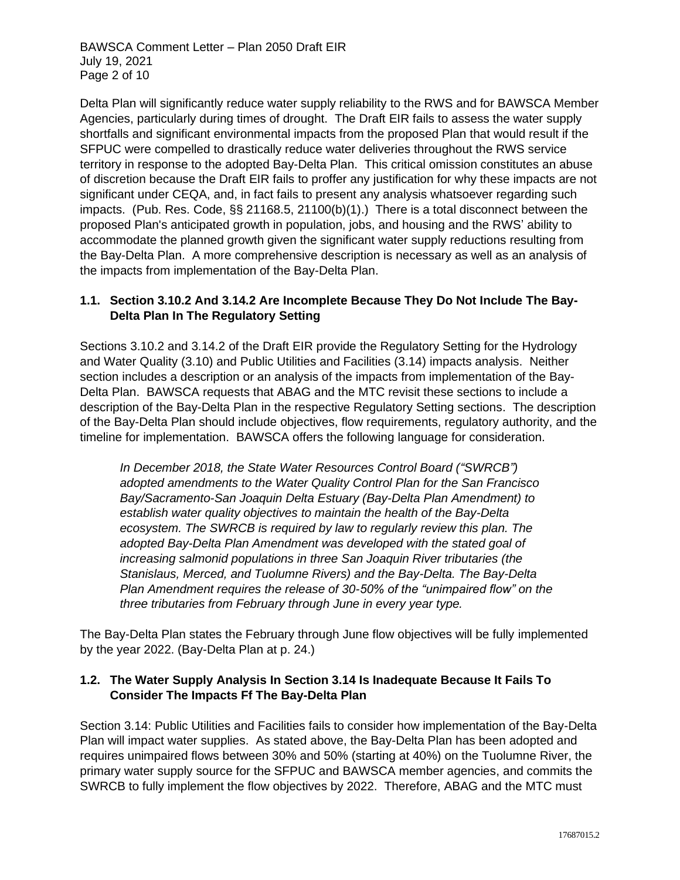Delta Plan will significantly reduce water supply reliability to the RWS and for BAWSCA Member Agencies, particularly during times of drought. The Draft EIR fails to assess the water supply shortfalls and significant environmental impacts from the proposed Plan that would result if the SFPUC were compelled to drastically reduce water deliveries throughout the RWS service territory in response to the adopted Bay-Delta Plan. This critical omission constitutes an abuse of discretion because the Draft EIR fails to proffer any justification for why these impacts are not significant under CEQA, and, in fact fails to present any analysis whatsoever regarding such impacts. (Pub. Res. Code, §§ 21168.5, 21100(b)(1).) There is a total disconnect between the proposed Plan's anticipated growth in population, jobs, and housing and the RWS' ability to accommodate the planned growth given the significant water supply reductions resulting from the Bay-Delta Plan. A more comprehensive description is necessary as well as an analysis of the impacts from implementation of the Bay-Delta Plan.

## **1.1. Section 3.10.2 And 3.14.2 Are Incomplete Because They Do Not Include The Bay-Delta Plan In The Regulatory Setting**

Sections 3.10.2 and 3.14.2 of the Draft EIR provide the Regulatory Setting for the Hydrology and Water Quality (3.10) and Public Utilities and Facilities (3.14) impacts analysis. Neither section includes a description or an analysis of the impacts from implementation of the Bay-Delta Plan. BAWSCA requests that ABAG and the MTC revisit these sections to include a description of the Bay-Delta Plan in the respective Regulatory Setting sections. The description of the Bay-Delta Plan should include objectives, flow requirements, regulatory authority, and the timeline for implementation. BAWSCA offers the following language for consideration.

*In December 2018, the State Water Resources Control Board ("SWRCB") adopted amendments to the Water Quality Control Plan for the San Francisco Bay/Sacramento-San Joaquin Delta Estuary (Bay-Delta Plan Amendment) to establish water quality objectives to maintain the health of the Bay-Delta ecosystem. The SWRCB is required by law to regularly review this plan. The adopted Bay-Delta Plan Amendment was developed with the stated goal of increasing salmonid populations in three San Joaquin River tributaries (the Stanislaus, Merced, and Tuolumne Rivers) and the Bay-Delta. The Bay-Delta Plan Amendment requires the release of 30-50% of the "unimpaired flow" on the three tributaries from February through June in every year type.*

The Bay-Delta Plan states the February through June flow objectives will be fully implemented by the year 2022. (Bay-Delta Plan at p. 24.)

#### **1.2. The Water Supply Analysis In Section 3.14 Is Inadequate Because It Fails To Consider The Impacts Ff The Bay-Delta Plan**

Section 3.14: Public Utilities and Facilities fails to consider how implementation of the Bay-Delta Plan will impact water supplies. As stated above, the Bay-Delta Plan has been adopted and requires unimpaired flows between 30% and 50% (starting at 40%) on the Tuolumne River, the primary water supply source for the SFPUC and BAWSCA member agencies, and commits the SWRCB to fully implement the flow objectives by 2022. Therefore, ABAG and the MTC must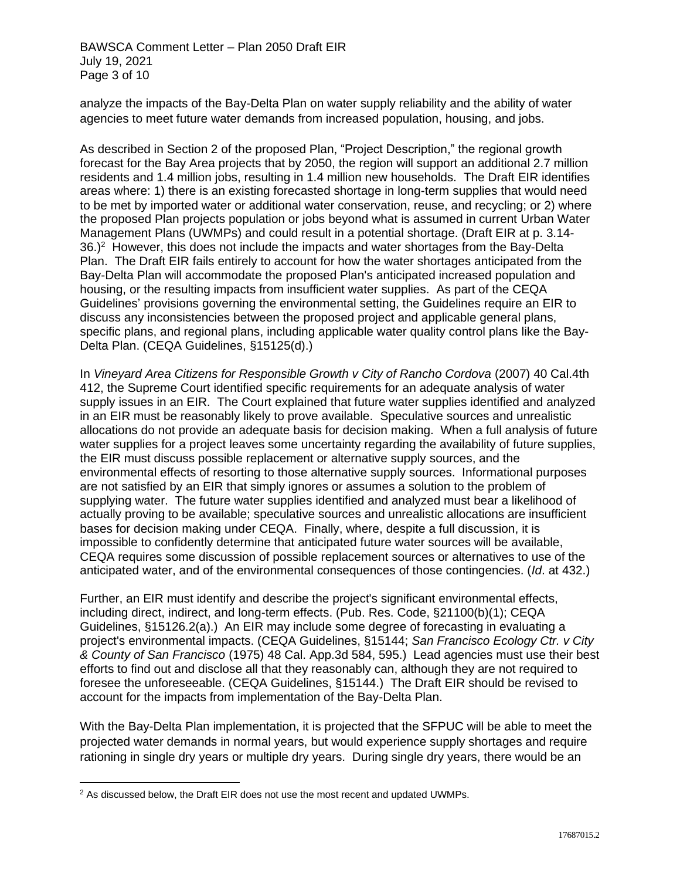analyze the impacts of the Bay-Delta Plan on water supply reliability and the ability of water agencies to meet future water demands from increased population, housing, and jobs.

As described in Section 2 of the proposed Plan, "Project Description," the regional growth forecast for the Bay Area projects that by 2050, the region will support an additional 2.7 million residents and 1.4 million jobs, resulting in 1.4 million new households. The Draft EIR identifies areas where: 1) there is an existing forecasted shortage in long-term supplies that would need to be met by imported water or additional water conservation, reuse, and recycling; or 2) where the proposed Plan projects population or jobs beyond what is assumed in current Urban Water Management Plans (UWMPs) and could result in a potential shortage. (Draft EIR at p. 3.14-  $36.<sup>2</sup>$  However, this does not include the impacts and water shortages from the Bay-Delta Plan. The Draft EIR fails entirely to account for how the water shortages anticipated from the Bay-Delta Plan will accommodate the proposed Plan's anticipated increased population and housing, or the resulting impacts from insufficient water supplies. As part of the CEQA Guidelines' provisions governing the environmental setting, the Guidelines require an EIR to discuss any inconsistencies between the proposed project and applicable general plans, specific plans, and regional plans, including applicable water quality control plans like the Bay-Delta Plan. (CEQA Guidelines, §15125(d).)

In *Vineyard Area Citizens for Responsible Growth v City of Rancho Cordova* (2007) 40 Cal.4th 412, the Supreme Court identified specific requirements for an adequate analysis of water supply issues in an EIR. The Court explained that future water supplies identified and analyzed in an EIR must be reasonably likely to prove available. Speculative sources and unrealistic allocations do not provide an adequate basis for decision making. When a full analysis of future water supplies for a project leaves some uncertainty regarding the availability of future supplies, the EIR must discuss possible replacement or alternative supply sources, and the environmental effects of resorting to those alternative supply sources. Informational purposes are not satisfied by an EIR that simply ignores or assumes a solution to the problem of supplying water. The future water supplies identified and analyzed must bear a likelihood of actually proving to be available; speculative sources and unrealistic allocations are insufficient bases for decision making under CEQA. Finally, where, despite a full discussion, it is impossible to confidently determine that anticipated future water sources will be available, CEQA requires some discussion of possible replacement sources or alternatives to use of the anticipated water, and of the environmental consequences of those contingencies. (*Id*. at 432.)

Further, an EIR must identify and describe the project's significant environmental effects, including direct, indirect, and long-term effects. (Pub. Res. Code, §21100(b)(1); CEQA Guidelines, §15126.2(a).) An EIR may include some degree of forecasting in evaluating a project's environmental impacts. (CEQA Guidelines, §15144; *San Francisco Ecology Ctr. v City & County of San Francisco* (1975) 48 Cal. App.3d 584, 595.) Lead agencies must use their best efforts to find out and disclose all that they reasonably can, although they are not required to foresee the unforeseeable. (CEQA Guidelines, §15144.) The Draft EIR should be revised to account for the impacts from implementation of the Bay-Delta Plan.

With the Bay-Delta Plan implementation, it is projected that the SFPUC will be able to meet the projected water demands in normal years, but would experience supply shortages and require rationing in single dry years or multiple dry years. During single dry years, there would be an

<sup>&</sup>lt;sup>2</sup> As discussed below, the Draft EIR does not use the most recent and updated UWMPs.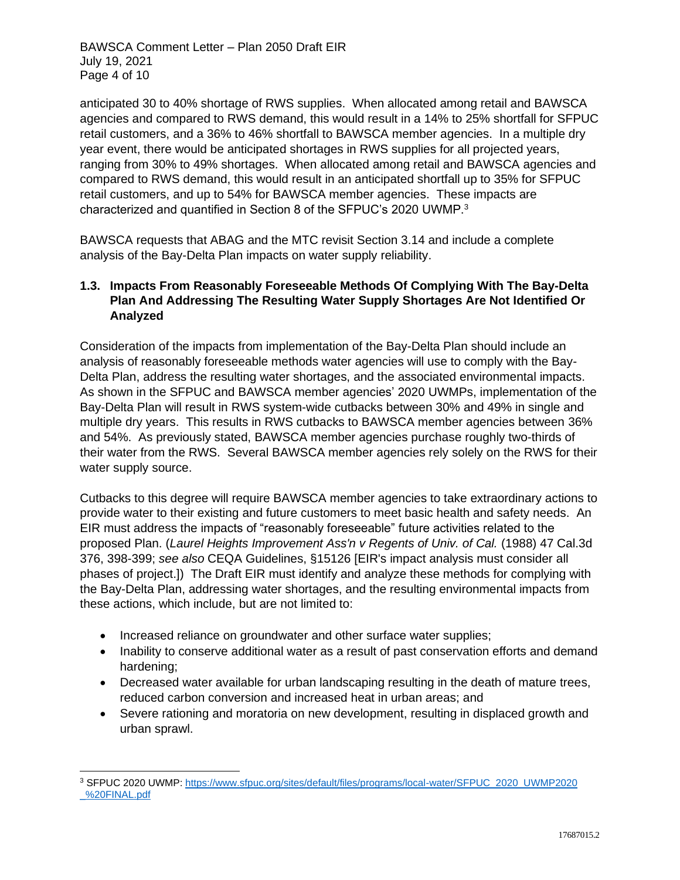BAWSCA Comment Letter – Plan 2050 Draft EIR July 19, 2021 Page 4 of 10

anticipated 30 to 40% shortage of RWS supplies. When allocated among retail and BAWSCA agencies and compared to RWS demand, this would result in a 14% to 25% shortfall for SFPUC retail customers, and a 36% to 46% shortfall to BAWSCA member agencies. In a multiple dry year event, there would be anticipated shortages in RWS supplies for all projected years, ranging from 30% to 49% shortages. When allocated among retail and BAWSCA agencies and compared to RWS demand, this would result in an anticipated shortfall up to 35% for SFPUC retail customers, and up to 54% for BAWSCA member agencies. These impacts are characterized and quantified in Section 8 of the SFPUC's 2020 UWMP.<sup>3</sup>

BAWSCA requests that ABAG and the MTC revisit Section 3.14 and include a complete analysis of the Bay-Delta Plan impacts on water supply reliability.

## **1.3. Impacts From Reasonably Foreseeable Methods Of Complying With The Bay-Delta Plan And Addressing The Resulting Water Supply Shortages Are Not Identified Or Analyzed**

Consideration of the impacts from implementation of the Bay-Delta Plan should include an analysis of reasonably foreseeable methods water agencies will use to comply with the Bay-Delta Plan, address the resulting water shortages, and the associated environmental impacts. As shown in the SFPUC and BAWSCA member agencies' 2020 UWMPs, implementation of the Bay-Delta Plan will result in RWS system-wide cutbacks between 30% and 49% in single and multiple dry years. This results in RWS cutbacks to BAWSCA member agencies between 36% and 54%. As previously stated, BAWSCA member agencies purchase roughly two-thirds of their water from the RWS. Several BAWSCA member agencies rely solely on the RWS for their water supply source.

Cutbacks to this degree will require BAWSCA member agencies to take extraordinary actions to provide water to their existing and future customers to meet basic health and safety needs. An EIR must address the impacts of "reasonably foreseeable" future activities related to the proposed Plan. (*Laurel Heights Improvement Ass'n v Regents of Univ. of Cal.* (1988) 47 Cal.3d 376, 398-399; *see also* CEQA Guidelines, §15126 [EIR's impact analysis must consider all phases of project.]) The Draft EIR must identify and analyze these methods for complying with the Bay-Delta Plan, addressing water shortages, and the resulting environmental impacts from these actions, which include, but are not limited to:

- Increased reliance on groundwater and other surface water supplies;
- Inability to conserve additional water as a result of past conservation efforts and demand hardening;
- Decreased water available for urban landscaping resulting in the death of mature trees, reduced carbon conversion and increased heat in urban areas; and
- Severe rationing and moratoria on new development, resulting in displaced growth and urban sprawl.

<sup>3</sup> SFPUC 2020 UWMP: [https://www.sfpuc.org/sites/default/files/programs/local-water/SFPUC\\_2020\\_UWMP2020](https://www.sfpuc.org/sites/default/files/programs/local-water/SFPUC_2020_UWMP2020_%20FINAL.pdf)  [\\_%20FINAL.pdf](https://www.sfpuc.org/sites/default/files/programs/local-water/SFPUC_2020_UWMP2020_%20FINAL.pdf)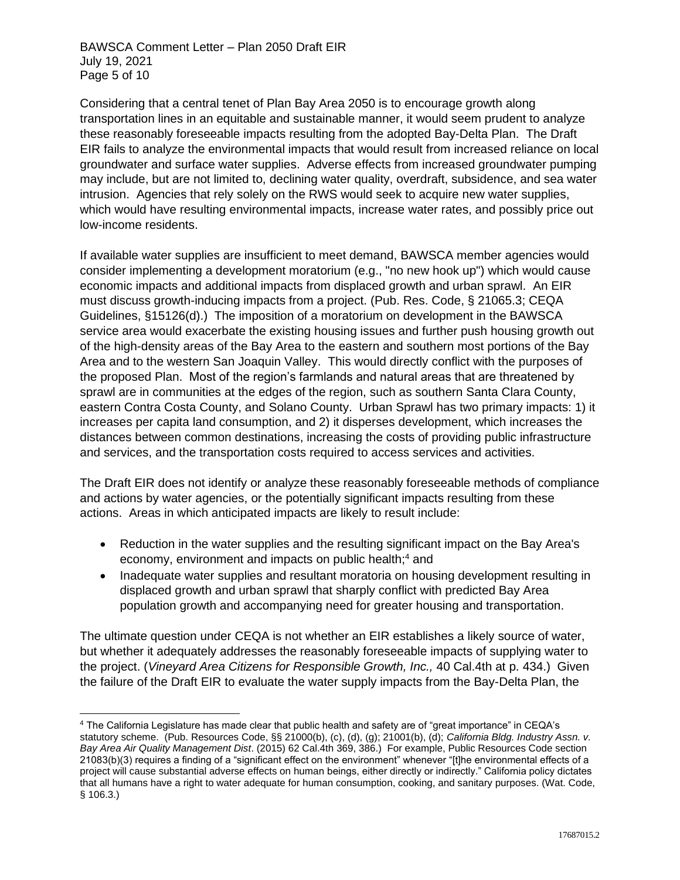Considering that a central tenet of Plan Bay Area 2050 is to encourage growth along transportation lines in an equitable and sustainable manner, it would seem prudent to analyze these reasonably foreseeable impacts resulting from the adopted Bay-Delta Plan. The Draft EIR fails to analyze the environmental impacts that would result from increased reliance on local groundwater and surface water supplies. Adverse effects from increased groundwater pumping may include, but are not limited to, declining water quality, overdraft, subsidence, and sea water intrusion. Agencies that rely solely on the RWS would seek to acquire new water supplies, which would have resulting environmental impacts, increase water rates, and possibly price out low-income residents.

If available water supplies are insufficient to meet demand, BAWSCA member agencies would consider implementing a development moratorium (e.g., "no new hook up") which would cause economic impacts and additional impacts from displaced growth and urban sprawl. An EIR must discuss growth-inducing impacts from a project. (Pub. Res. Code, § 21065.3; CEQA Guidelines, §15126(d).) The imposition of a moratorium on development in the BAWSCA service area would exacerbate the existing housing issues and further push housing growth out of the high-density areas of the Bay Area to the eastern and southern most portions of the Bay Area and to the western San Joaquin Valley. This would directly conflict with the purposes of the proposed Plan. Most of the region's farmlands and natural areas that are threatened by sprawl are in communities at the edges of the region, such as southern Santa Clara County, eastern Contra Costa County, and Solano County. Urban Sprawl has two primary impacts: 1) it increases per capita land consumption, and 2) it disperses development, which increases the distances between common destinations, increasing the costs of providing public infrastructure and services, and the transportation costs required to access services and activities.

The Draft EIR does not identify or analyze these reasonably foreseeable methods of compliance and actions by water agencies, or the potentially significant impacts resulting from these actions. Areas in which anticipated impacts are likely to result include:

- Reduction in the water supplies and the resulting significant impact on the Bay Area's economy, environment and impacts on public health;<sup>4</sup> and
- Inadequate water supplies and resultant moratoria on housing development resulting in displaced growth and urban sprawl that sharply conflict with predicted Bay Area population growth and accompanying need for greater housing and transportation.

The ultimate question under CEQA is not whether an EIR establishes a likely source of water, but whether it adequately addresses the reasonably foreseeable impacts of supplying water to the project. (*Vineyard Area Citizens for Responsible Growth, Inc.,* 40 Cal.4th at p. 434.) Given the failure of the Draft EIR to evaluate the water supply impacts from the Bay-Delta Plan, the

<sup>4</sup> The California Legislature has made clear that public health and safety are of "great importance" in CEQA's statutory scheme. (Pub. Resources Code, §§ 21000(b), (c), (d), (g); 21001(b), (d); *California Bldg. Industry Assn. v. Bay Area Air Quality Management Dist*. (2015) 62 Cal.4th 369, 386.) For example, Public Resources Code section 21083(b)(3) requires a finding of a "significant effect on the environment" whenever "[t]he environmental effects of a project will cause substantial adverse effects on human beings, either directly or indirectly." California policy dictates that all humans have a right to water adequate for human consumption, cooking, and sanitary purposes. (Wat. Code, § 106.3.)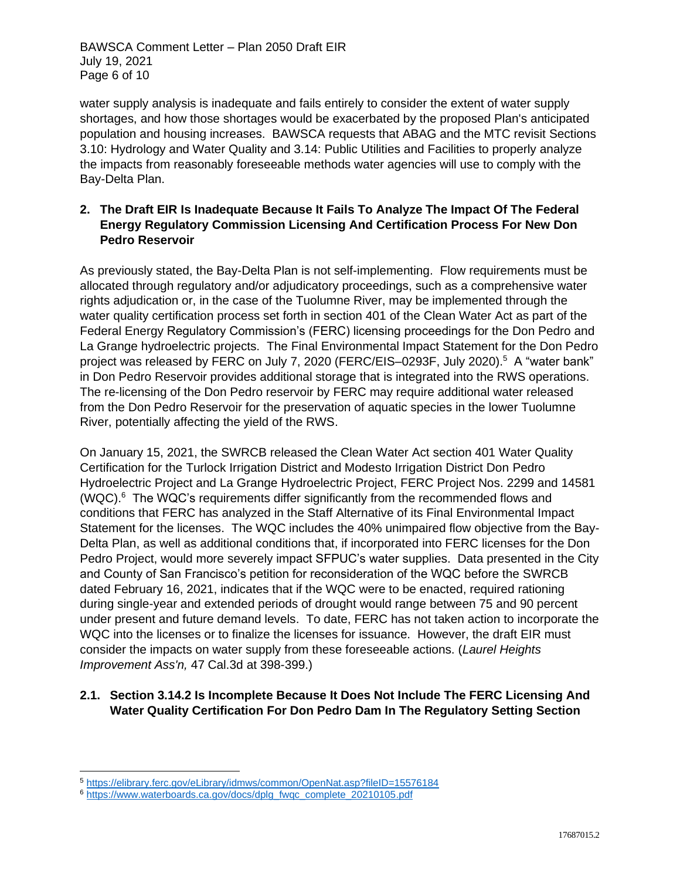BAWSCA Comment Letter – Plan 2050 Draft EIR July 19, 2021 Page 6 of 10

water supply analysis is inadequate and fails entirely to consider the extent of water supply shortages, and how those shortages would be exacerbated by the proposed Plan's anticipated population and housing increases. BAWSCA requests that ABAG and the MTC revisit Sections 3.10: Hydrology and Water Quality and 3.14: Public Utilities and Facilities to properly analyze the impacts from reasonably foreseeable methods water agencies will use to comply with the Bay-Delta Plan.

#### **2. The Draft EIR Is Inadequate Because It Fails To Analyze The Impact Of The Federal Energy Regulatory Commission Licensing And Certification Process For New Don Pedro Reservoir**

As previously stated, the Bay-Delta Plan is not self-implementing. Flow requirements must be allocated through regulatory and/or adjudicatory proceedings, such as a comprehensive water rights adjudication or, in the case of the Tuolumne River, may be implemented through the water quality certification process set forth in section 401 of the Clean Water Act as part of the Federal Energy Regulatory Commission's (FERC) licensing proceedings for the Don Pedro and La Grange hydroelectric projects. The Final Environmental Impact Statement for the Don Pedro project was released by FERC on July 7, 2020 (FERC/EIS–0293F, July 2020).<sup>5</sup> A "water bank" in Don Pedro Reservoir provides additional storage that is integrated into the RWS operations. The re-licensing of the Don Pedro reservoir by FERC may require additional water released from the Don Pedro Reservoir for the preservation of aquatic species in the lower Tuolumne River, potentially affecting the yield of the RWS.

On January 15, 2021, the SWRCB released the Clean Water Act section 401 Water Quality Certification for the Turlock Irrigation District and Modesto Irrigation District Don Pedro Hydroelectric Project and La Grange Hydroelectric Project, FERC Project Nos. 2299 and 14581  $(WQC)$ .<sup>6</sup> The WQC's requirements differ significantly from the recommended flows and conditions that FERC has analyzed in the Staff Alternative of its Final Environmental Impact Statement for the licenses. The WQC includes the 40% unimpaired flow objective from the Bay-Delta Plan, as well as additional conditions that, if incorporated into FERC licenses for the Don Pedro Project, would more severely impact SFPUC's water supplies. Data presented in the City and County of San Francisco's petition for reconsideration of the WQC before the SWRCB dated February 16, 2021, indicates that if the WQC were to be enacted, required rationing during single-year and extended periods of drought would range between 75 and 90 percent under present and future demand levels. To date, FERC has not taken action to incorporate the WQC into the licenses or to finalize the licenses for issuance. However, the draft EIR must consider the impacts on water supply from these foreseeable actions. (*Laurel Heights Improvement Ass'n,* 47 Cal.3d at 398-399.)

# **2.1. Section 3.14.2 Is Incomplete Because It Does Not Include The FERC Licensing And Water Quality Certification For Don Pedro Dam In The Regulatory Setting Section**

<sup>5</sup> <https://elibrary.ferc.gov/eLibrary/idmws/common/OpenNat.asp?fileID=15576184>

<sup>&</sup>lt;sup>6</sup> [https://www.waterboards.ca.gov/docs/dplg\\_fwqc\\_complete\\_20210105.pdf](https://www.waterboards.ca.gov/docs/dplg_fwqc_complete_20210105.pdf)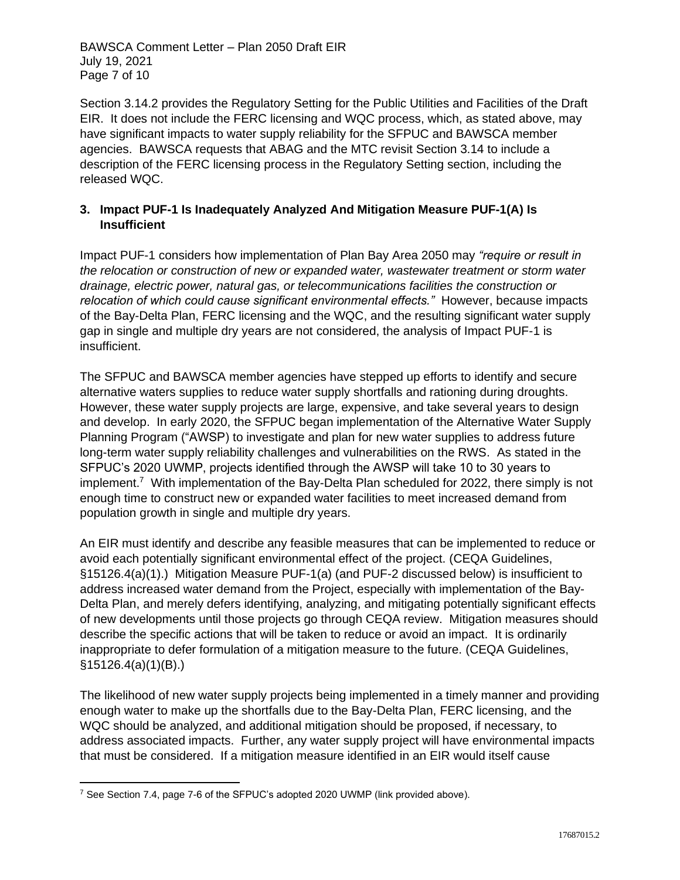BAWSCA Comment Letter – Plan 2050 Draft EIR July 19, 2021 Page 7 of 10

Section 3.14.2 provides the Regulatory Setting for the Public Utilities and Facilities of the Draft EIR. It does not include the FERC licensing and WQC process, which, as stated above, may have significant impacts to water supply reliability for the SFPUC and BAWSCA member agencies. BAWSCA requests that ABAG and the MTC revisit Section 3.14 to include a description of the FERC licensing process in the Regulatory Setting section, including the released WQC.

## **3. Impact PUF-1 Is Inadequately Analyzed And Mitigation Measure PUF-1(A) Is Insufficient**

Impact PUF-1 considers how implementation of Plan Bay Area 2050 may *"require or result in the relocation or construction of new or expanded water, wastewater treatment or storm water drainage, electric power, natural gas, or telecommunications facilities the construction or relocation of which could cause significant environmental effects."* However, because impacts of the Bay-Delta Plan, FERC licensing and the WQC, and the resulting significant water supply gap in single and multiple dry years are not considered, the analysis of Impact PUF-1 is insufficient.

The SFPUC and BAWSCA member agencies have stepped up efforts to identify and secure alternative waters supplies to reduce water supply shortfalls and rationing during droughts. However, these water supply projects are large, expensive, and take several years to design and develop. In early 2020, the SFPUC began implementation of the Alternative Water Supply Planning Program ("AWSP) to investigate and plan for new water supplies to address future long-term water supply reliability challenges and vulnerabilities on the RWS. As stated in the SFPUC's 2020 UWMP, projects identified through the AWSP will take 10 to 30 years to implement.<sup>7</sup> With implementation of the Bay-Delta Plan scheduled for 2022, there simply is not enough time to construct new or expanded water facilities to meet increased demand from population growth in single and multiple dry years.

An EIR must identify and describe any feasible measures that can be implemented to reduce or avoid each potentially significant environmental effect of the project. (CEQA Guidelines, §15126.4(a)(1).) Mitigation Measure PUF-1(a) (and PUF-2 discussed below) is insufficient to address increased water demand from the Project, especially with implementation of the Bay-Delta Plan, and merely defers identifying, analyzing, and mitigating potentially significant effects of new developments until those projects go through CEQA review. Mitigation measures should describe the specific actions that will be taken to reduce or avoid an impact. It is ordinarily inappropriate to defer formulation of a mitigation measure to the future. (CEQA Guidelines, §15126.4(a)(1)(B).)

The likelihood of new water supply projects being implemented in a timely manner and providing enough water to make up the shortfalls due to the Bay-Delta Plan, FERC licensing, and the WQC should be analyzed, and additional mitigation should be proposed, if necessary, to address associated impacts. Further, any water supply project will have environmental impacts that must be considered. If a mitigation measure identified in an EIR would itself cause

<sup>7</sup> See Section 7.4, page 7-6 of the SFPUC's adopted 2020 UWMP (link provided above).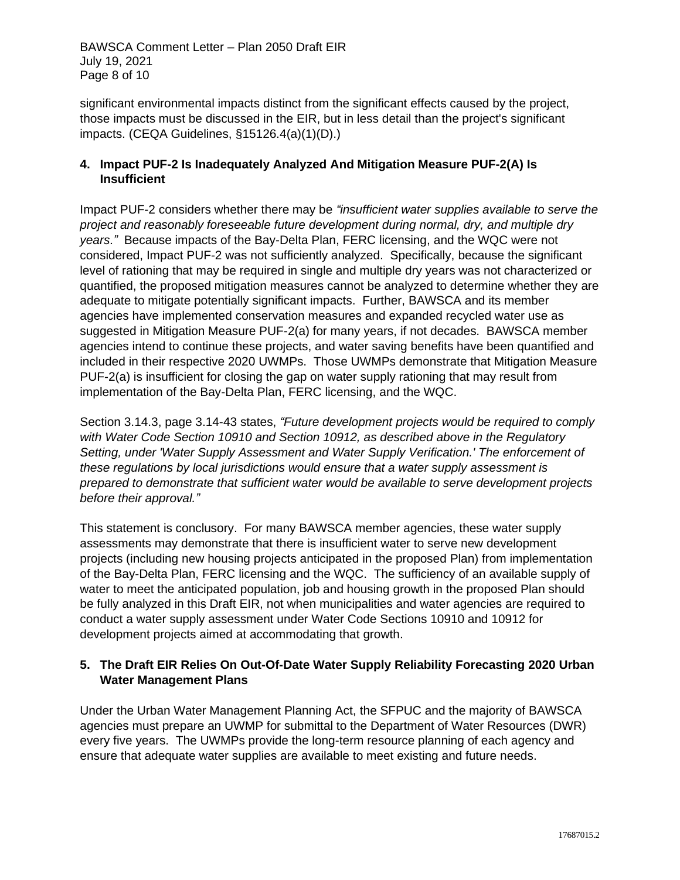BAWSCA Comment Letter – Plan 2050 Draft EIR July 19, 2021 Page 8 of 10

significant environmental impacts distinct from the significant effects caused by the project, those impacts must be discussed in the EIR, but in less detail than the project's significant impacts. (CEQA Guidelines, §15126.4(a)(1)(D).)

## **4. Impact PUF-2 Is Inadequately Analyzed And Mitigation Measure PUF-2(A) Is Insufficient**

Impact PUF-2 considers whether there may be *"insufficient water supplies available to serve the project and reasonably foreseeable future development during normal, dry, and multiple dry years."* Because impacts of the Bay-Delta Plan, FERC licensing, and the WQC were not considered, Impact PUF-2 was not sufficiently analyzed. Specifically, because the significant level of rationing that may be required in single and multiple dry years was not characterized or quantified, the proposed mitigation measures cannot be analyzed to determine whether they are adequate to mitigate potentially significant impacts. Further, BAWSCA and its member agencies have implemented conservation measures and expanded recycled water use as suggested in Mitigation Measure PUF-2(a) for many years, if not decades. BAWSCA member agencies intend to continue these projects, and water saving benefits have been quantified and included in their respective 2020 UWMPs. Those UWMPs demonstrate that Mitigation Measure PUF-2(a) is insufficient for closing the gap on water supply rationing that may result from implementation of the Bay-Delta Plan, FERC licensing, and the WQC.

Section 3.14.3, page 3.14-43 states, *"Future development projects would be required to comply with Water Code Section 10910 and Section 10912, as described above in the Regulatory Setting, under 'Water Supply Assessment and Water Supply Verification.' The enforcement of these regulations by local jurisdictions would ensure that a water supply assessment is prepared to demonstrate that sufficient water would be available to serve development projects before their approval."*

This statement is conclusory. For many BAWSCA member agencies, these water supply assessments may demonstrate that there is insufficient water to serve new development projects (including new housing projects anticipated in the proposed Plan) from implementation of the Bay-Delta Plan, FERC licensing and the WQC. The sufficiency of an available supply of water to meet the anticipated population, job and housing growth in the proposed Plan should be fully analyzed in this Draft EIR, not when municipalities and water agencies are required to conduct a water supply assessment under Water Code Sections 10910 and 10912 for development projects aimed at accommodating that growth.

## **5. The Draft EIR Relies On Out-Of-Date Water Supply Reliability Forecasting 2020 Urban Water Management Plans**

Under the Urban Water Management Planning Act, the SFPUC and the majority of BAWSCA agencies must prepare an UWMP for submittal to the Department of Water Resources (DWR) every five years. The UWMPs provide the long-term resource planning of each agency and ensure that adequate water supplies are available to meet existing and future needs.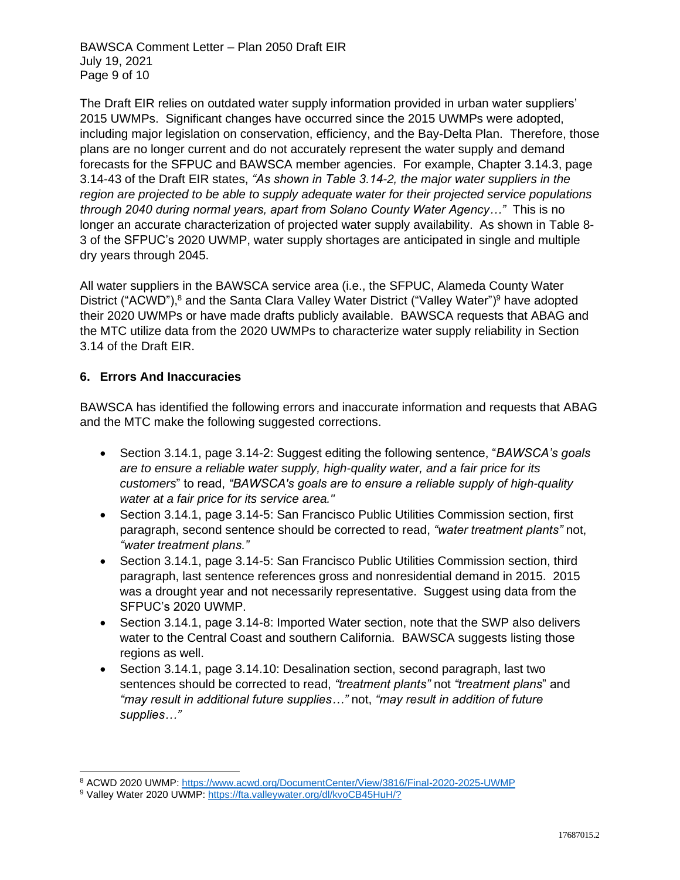BAWSCA Comment Letter – Plan 2050 Draft EIR July 19, 2021 Page 9 of 10

The Draft EIR relies on outdated water supply information provided in urban water suppliers' 2015 UWMPs. Significant changes have occurred since the 2015 UWMPs were adopted, including major legislation on conservation, efficiency, and the Bay-Delta Plan. Therefore, those plans are no longer current and do not accurately represent the water supply and demand forecasts for the SFPUC and BAWSCA member agencies. For example, Chapter 3.14.3, page 3.14-43 of the Draft EIR states, *"As shown in Table 3.14-2, the major water suppliers in the region are projected to be able to supply adequate water for their projected service populations through 2040 during normal years, apart from Solano County Water Agency…"* This is no longer an accurate characterization of projected water supply availability. As shown in Table 8- 3 of the SFPUC's 2020 UWMP, water supply shortages are anticipated in single and multiple dry years through 2045.

All water suppliers in the BAWSCA service area (i.e., the SFPUC, Alameda County Water District ("ACWD"),<sup>8</sup> and the Santa Clara Valley Water District ("Valley Water")<sup>9</sup> have adopted their 2020 UWMPs or have made drafts publicly available. BAWSCA requests that ABAG and the MTC utilize data from the 2020 UWMPs to characterize water supply reliability in Section 3.14 of the Draft EIR.

## **6. Errors And Inaccuracies**

BAWSCA has identified the following errors and inaccurate information and requests that ABAG and the MTC make the following suggested corrections.

- Section 3.14.1, page 3.14-2: Suggest editing the following sentence, "*BAWSCA's goals are to ensure a reliable water supply, high-quality water, and a fair price for its customers*" to read, *"BAWSCA's goals are to ensure a reliable supply of high-quality water at a fair price for its service area."*
- Section 3.14.1, page 3.14-5: San Francisco Public Utilities Commission section, first paragraph, second sentence should be corrected to read, *"water treatment plants"* not, *"water treatment plans."*
- Section 3.14.1, page 3.14-5: San Francisco Public Utilities Commission section, third paragraph, last sentence references gross and nonresidential demand in 2015. 2015 was a drought year and not necessarily representative. Suggest using data from the SFPUC's 2020 UWMP.
- Section 3.14.1, page 3.14-8: Imported Water section, note that the SWP also delivers water to the Central Coast and southern California. BAWSCA suggests listing those regions as well.
- Section 3.14.1, page 3.14.10: Desalination section, second paragraph, last two sentences should be corrected to read, *"treatment plants"* not *"treatment plans*" and *"may result in additional future supplies…"* not, *"may result in addition of future supplies…"*

<sup>8</sup> ACWD 2020 UWMP:<https://www.acwd.org/DocumentCenter/View/3816/Final-2020-2025-UWMP>

<sup>9</sup> Valley Water 2020 UWMP:<https://fta.valleywater.org/dl/kvoCB45HuH/?>